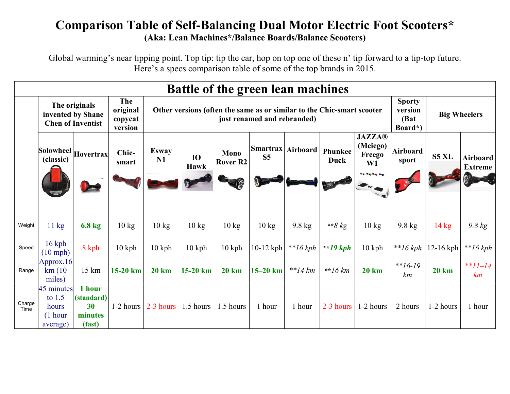## Comparison Table of Self-Balancing Dual Motor Electric Foot Scooters\* (Aka: Lean Machines\*/Balance Boards/Balance Scooters)

Global warming's near tipping point. Top tip: tip the car, hop on top one of these n' tip forward to a tip-top future. Here's a specs comparison table of some of the top brands in 2015.

|                | <b>Battle of the green lean machines</b>                       |                                                 |                                              |                                                                                                       |                          |                                |                                   |                          |                 |                                                                    |                          |                                |                            |
|----------------|----------------------------------------------------------------|-------------------------------------------------|----------------------------------------------|-------------------------------------------------------------------------------------------------------|--------------------------|--------------------------------|-----------------------------------|--------------------------|-----------------|--------------------------------------------------------------------|--------------------------|--------------------------------|----------------------------|
|                | The originals<br>invented by Shane<br><b>Chen of Inventist</b> |                                                 | <b>The</b><br>original<br>copycat<br>version | Other versions (often the same as or similar to the Chic-smart scooter<br>just renamed and rebranded) |                          |                                |                                   |                          |                 |                                                                    |                          | <b>Big Wheelers</b><br>Board*) |                            |
|                | Solowheel Hovertrax<br>(classic)                               |                                                 | Chic-<br>smart                               | <b>Esway</b><br>N1                                                                                    | <b>IO</b><br><b>Hawk</b> | <b>Mono</b><br><b>Rover R2</b> | <b>Smartrax</b><br>S <sub>5</sub> | Airboard                 | Phunkee<br>Duck | <b>JAZZA®</b><br>(Meiego)<br>Freego<br>W1<br><b>Being the fire</b> | <b>Airboard</b><br>sport | S5 XL                          | Airboard<br><b>Extreme</b> |
|                |                                                                |                                                 |                                              |                                                                                                       |                          |                                |                                   |                          |                 |                                                                    |                          |                                |                            |
| Weight         | $11 \text{ kg}$                                                | $6.8 \text{ kg}$                                | $10 \text{ kg}$                              | $10 \text{ kg}$                                                                                       | $10 \text{ kg}$          | $10 \text{ kg}$                | $10 \text{ kg}$                   | $9.8 \text{ kg}$         | ** $8 \, kg$    | $10 \text{ kg}$                                                    | $9.8 \text{ kg}$         | $14 \text{ kg}$                | 9.8 kg                     |
| Speed          | $16$ kph<br>$(10$ mph)                                         | 8 kph                                           | $10$ kph                                     | $10$ kph                                                                                              | $10$ kph                 | $10$ kph                       | $10-12$ kph                       | $*16 kph$                | $*19 kph$       | $10$ kph                                                           | $*16 kph$                | $12-16$ kph                    | $*$ $16 kph$               |
| Range          | Approx.16<br>km(10)<br>miles)                                  | 15 km                                           | 15-20 km                                     | <b>20 km</b>                                                                                          | $15-20$ km               | <b>20 km</b>                   | $15-20$ km                        | $*$ <sup>*</sup> $14$ km | **16 $km$       | <b>20 km</b>                                                       | $*16-19$<br>km           | <b>20 km</b>                   | ** $11-14$<br>km           |
| Charge<br>Time | 45 minutes<br>to $1.5$<br>hours<br>$(1$ hour<br>average)       | 1 hour<br>(standard)<br>30<br>minutes<br>(fast) | 1-2 hours                                    | 2-3 hours                                                                                             | 1.5 hours                | 1.5 hours                      | 1 hour                            | 1 hour                   | $2-3$ hours     | 1-2 hours                                                          | 2 hours                  | 1-2 hours                      | 1 hour                     |